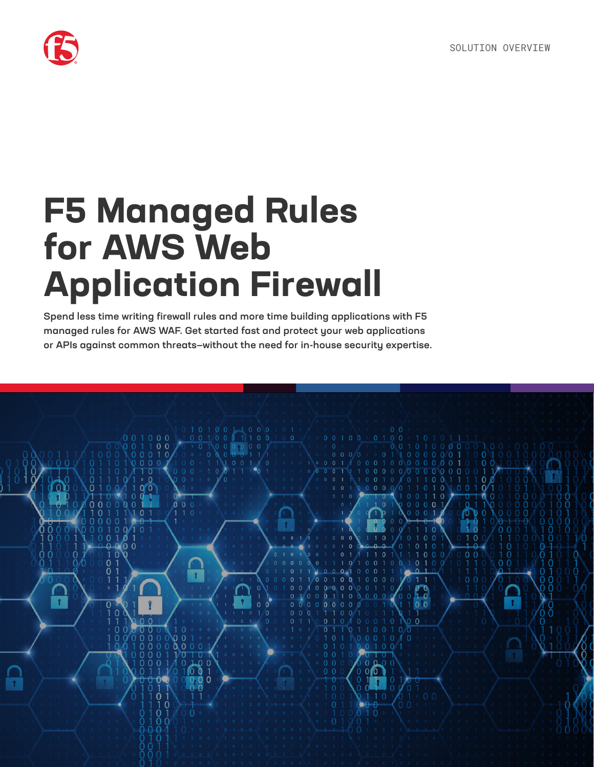

# **F5 Managed Rules for AWS Web Application Firewall**

Spend less time writing firewall rules and more time building applications with F5 managed rules for AWS WAF. Get started fast and protect your web applications or APIs against common threats—without the need for in-house security expertise.

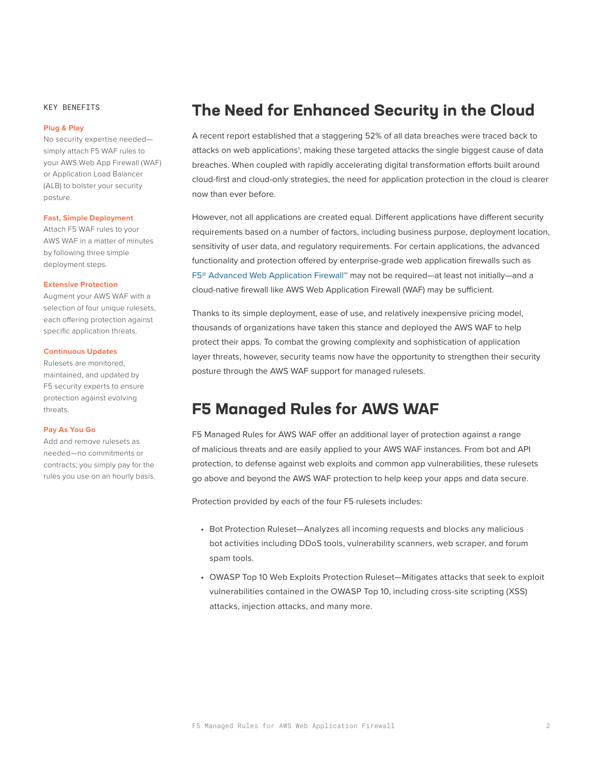#### KEY BENEFITS

#### **Plug & Play**

No security expertise needed simply attach F5 WAF rules to your AWS Web App Firewall (WAF) or Application Load Balancer (ALB) to bolster your security posture.

#### **Fast, Simple Deployment**

Attach F5 WAF rules to your AWS WAF in a matter of minutes by following three simple deployment steps.

#### **Extensive Protection**

Augment your AWS WAF with a selection of four unique rulesets, each offering protection against specific application threats.

#### **Continuous Updates**

Rulesets are monitored, maintained, and updated by F5 security experts to ensure protection against evolving threats.

#### **Pay As You Go**

Add and remove rulesets as needed—no commitments or contracts; you simply pay for the rules you use on an hourly basis.

## **The Need for Enhanced Security in the Cloud**

A recent report established that a staggering 52% of all data breaches were traced back to attacks on web applications<sup>1</sup>, making these targeted attacks the single biggest cause of data breaches. When coupled with rapidly accelerating digital transformation efforts built around cloud-first and cloud-only strategies, the need for application protection in the cloud is clearer now than ever before.

However, not all applications are created equal. Different applications have different security requirements based on a number of factors, including business purpose, deployment location, sensitivity of user data, and regulatory requirements. For certain applications, the advanced functionality and protection offered by enterprise-grade web application firewalls such as [F5® Advanced Web Application Firewall](https://www.f5.com/products/security/advanced-waf)™ may not be required—at least not initially—and a cloud-native firewall like AWS Web Application Firewall (WAF) may be sufficient.

Thanks to its simple deployment, ease of use, and relatively inexpensive pricing model, thousands of organizations have taken this stance and deployed the AWS WAF to help protect their apps. To combat the growing complexity and sophistication of application layer threats, however, security teams now have the opportunity to strengthen their security posture through the AWS WAF support for managed rulesets.

### **F5 Managed Rules for AWS WAF**

F5 Managed Rules for AWS WAF offer an additional layer of protection against a range of malicious threats and are easily applied to your AWS WAF instances. From bot and API protection, to defense against web exploits and common app vulnerabilities, these rulesets go above and beyond the AWS WAF protection to help keep your apps and data secure.

Protection provided by each of the four F5 rulesets includes:

- Bot Protection Ruleset—Analyzes all incoming requests and blocks any malicious bot activities including DDoS tools, vulnerability scanners, web scraper, and forum spam tools.
- OWASP Top 10 Web Exploits Protection Ruleset—Mitigates attacks that seek to exploit vulnerabilities contained in the OWASP Top 10, including cross-site scripting (XSS) attacks, injection attacks, and many more.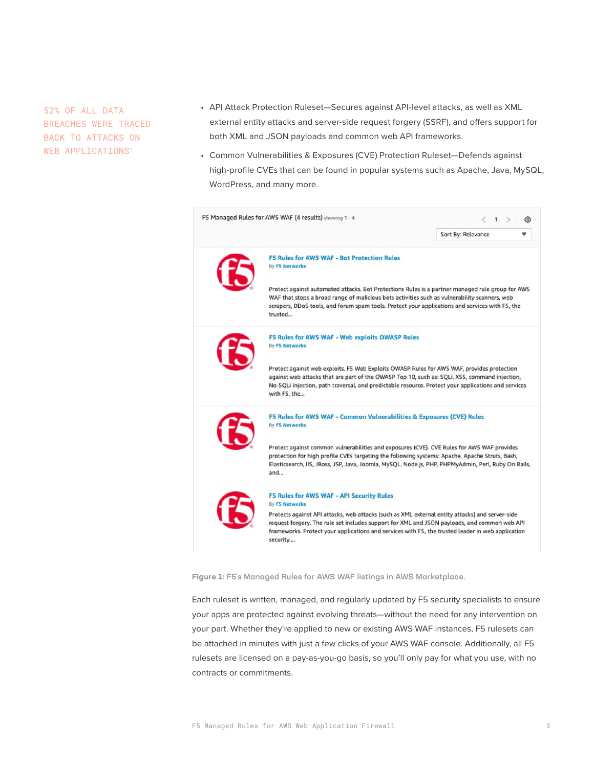52% OF ALL DATA BREACHES WERE TRACED BACK TO ATTACKS ON WEB APPLICATIONS<sup>1</sup>

- API Attack Protection Ruleset—Secures against API-level attacks, as well as XML external entity attacks and server-side request forgery (SSRF), and offers support for both XML and JSON payloads and common web API frameworks.
- Common Vulnerabilities & Exposures (CVE) Protection Ruleset—Defends against high-profile CVEs that can be found in popular systems such as Apache, Java, MySQL, WordPress, and many more.



**Figure 1:** F5's Managed Rules for AWS WAF listings in AWS Marketplace.

Each ruleset is written, managed, and regularly updated by F5 security specialists to ensure your apps are protected against evolving threats—without the need for any intervention on your part. Whether they're applied to new or existing AWS WAF instances, F5 rulesets can be attached in minutes with just a few clicks of your AWS WAF console. Additionally, all F5 rulesets are licensed on a pay-as-you-go basis, so you'll only pay for what you use, with no contracts or commitments.